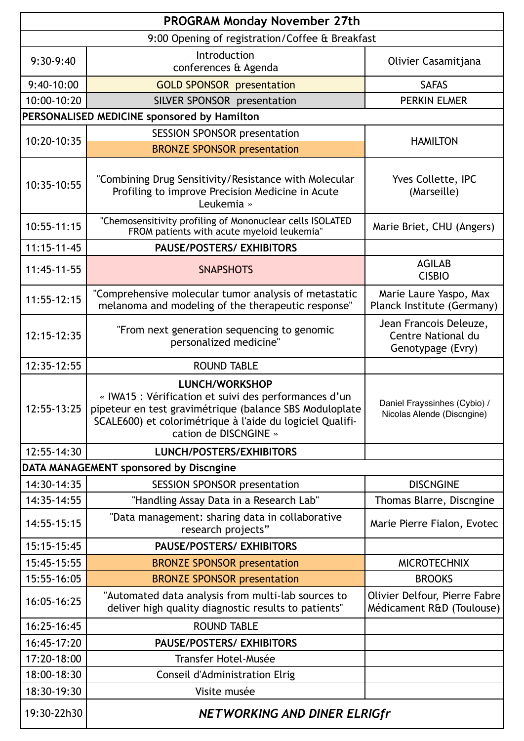| <b>PROGRAM Monday November 27th</b>             |                                                                                                                                                                                                                                 |                                                                   |  |
|-------------------------------------------------|---------------------------------------------------------------------------------------------------------------------------------------------------------------------------------------------------------------------------------|-------------------------------------------------------------------|--|
| 9:00 Opening of registration/Coffee & Breakfast |                                                                                                                                                                                                                                 |                                                                   |  |
| 9:30-9:40                                       | Introduction<br>conferences & Agenda                                                                                                                                                                                            | Olivier Casamitjana                                               |  |
| $9:40-10:00$                                    | <b>GOLD SPONSOR presentation</b>                                                                                                                                                                                                | <b>SAFAS</b>                                                      |  |
| 10:00-10:20                                     | SILVER SPONSOR presentation                                                                                                                                                                                                     | <b>PERKIN ELMER</b>                                               |  |
| PERSONALISED MEDICINE sponsored by Hamilton     |                                                                                                                                                                                                                                 |                                                                   |  |
| 10:20-10:35                                     | <b>SESSION SPONSOR presentation</b>                                                                                                                                                                                             | <b>HAMILTON</b>                                                   |  |
|                                                 | <b>BRONZE SPONSOR presentation</b>                                                                                                                                                                                              |                                                                   |  |
| 10:35-10:55                                     | "Combining Drug Sensitivity/Resistance with Molecular<br>Profiling to improve Precision Medicine in Acute<br>Leukemia »                                                                                                         | Yves Collette, IPC<br>(Marseille)                                 |  |
| $10:55 - 11:15$                                 | "Chemosensitivity profiling of Mononuclear cells ISOLATED<br>FROM patients with acute myeloid leukemia"                                                                                                                         | Marie Briet, CHU (Angers)                                         |  |
| $11:15 - 11 - 45$                               | <b>PAUSE/POSTERS/ EXHIBITORS</b>                                                                                                                                                                                                |                                                                   |  |
| 11:45-11-55                                     | <b>SNAPSHOTS</b>                                                                                                                                                                                                                | <b>AGILAB</b><br><b>CISBIO</b>                                    |  |
| $11:55 - 12:15$                                 | "Comprehensive molecular tumor analysis of metastatic<br>melanoma and modeling of the therapeutic response"                                                                                                                     | Marie Laure Yaspo, Max<br>Planck Institute (Germany)              |  |
| 12:15-12:35                                     | "From next generation sequencing to genomic<br>personalized medicine"                                                                                                                                                           | Jean Francois Deleuze,<br>Centre National du<br>Genotypage (Evry) |  |
| 12:35-12:55                                     | <b>ROUND TABLE</b>                                                                                                                                                                                                              |                                                                   |  |
| 12:55-13:25                                     | <b>LUNCH/WORKSHOP</b><br>« IWA15 : Vérification et suivi des performances d'un<br>pipeteur en test gravimétrique (balance SBS Moduloplate<br>SCALE600) et colorimétrique à l'aide du logiciel Qualifi-<br>cation de DISCNGINE » | Daniel Frayssinhes (Cybio) /<br>Nicolas Alende (Discngine)        |  |
| 12:55-14:30                                     | <b>LUNCH/POSTERS/EXHIBITORS</b>                                                                                                                                                                                                 |                                                                   |  |
| DATA MANAGEMENT sponsored by Discngine          |                                                                                                                                                                                                                                 |                                                                   |  |
| 14:30-14:35                                     | <b>SESSION SPONSOR presentation</b>                                                                                                                                                                                             | <b>DISCNGINE</b>                                                  |  |
| 14:35-14:55                                     | "Handling Assay Data in a Research Lab"                                                                                                                                                                                         | Thomas Blarre, Discngine                                          |  |
| 14:55-15:15                                     | "Data management: sharing data in collaborative<br>research projects"                                                                                                                                                           | Marie Pierre Fialon, Evotec                                       |  |
| 15:15-15:45                                     | <b>PAUSE/POSTERS/ EXHIBITORS</b>                                                                                                                                                                                                |                                                                   |  |
| 15:45-15:55                                     | <b>BRONZE SPONSOR presentation</b>                                                                                                                                                                                              | <b>MICROTECHNIX</b>                                               |  |
| 15:55-16:05                                     | <b>BRONZE SPONSOR presentation</b>                                                                                                                                                                                              | <b>BROOKS</b>                                                     |  |
| 16:05-16:25                                     | "Automated data analysis from multi-lab sources to<br>deliver high quality diagnostic results to patients"                                                                                                                      | Olivier Delfour, Pierre Fabre<br>Médicament R&D (Toulouse)        |  |
| 16:25-16:45                                     | <b>ROUND TABLE</b>                                                                                                                                                                                                              |                                                                   |  |
| 16:45-17:20                                     | <b>PAUSE/POSTERS/ EXHIBITORS</b>                                                                                                                                                                                                |                                                                   |  |
| 17:20-18:00                                     | Transfer Hotel-Musée                                                                                                                                                                                                            |                                                                   |  |
| 18:00-18:30                                     | Conseil d'Administration Elrig                                                                                                                                                                                                  |                                                                   |  |
| 18:30-19:30                                     | Visite musée                                                                                                                                                                                                                    |                                                                   |  |
| 19:30-22h30                                     | <b>NETWORKING AND DINER ELRIGfr</b>                                                                                                                                                                                             |                                                                   |  |